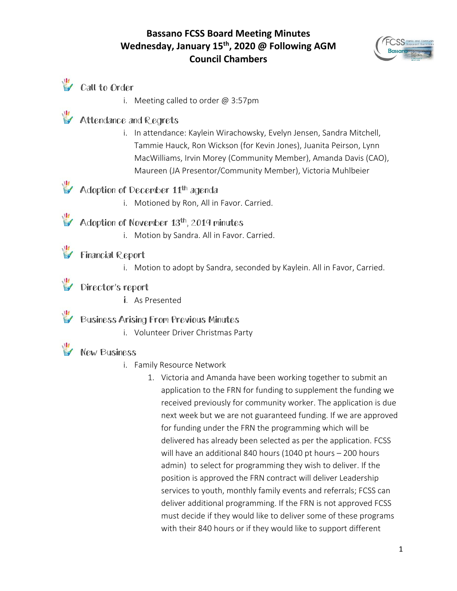# **Bassano FCSS Board Meeting Minutes Wednesday, January 15th, 2020 @ Following AGM Council Chambers**



# **V** Call to Order

i. Meeting called to order @ 3:57pm

# Attendance and Regrets

i. In attendance: Kaylein Wirachowsky, Evelyn Jensen, Sandra Mitchell, Tammie Hauck, Ron Wickson (for Kevin Jones), Juanita Peirson, Lynn MacWilliams, Irvin Morey (Community Member), Amanda Davis (CAO), Maureen (JA Presentor/Community Member), Victoria Muhlbeier

# Adoption of December 11<sup>th</sup> agenda

i. Motioned by Ron, All in Favor. Carried.

#### Adoption of November 13th, 2019 minutes

i. Motion by Sandra. All in Favor. Carried.

# Financial Report

i. Motion to adopt by Sandra, seconded by Kaylein. All in Favor, Carried.

# Director's report

i. As Presented

#### Business Arising From Previous Minutes

i. Volunteer Driver Christmas Party

# New Business

- i. Family Resource Network
	- 1. Victoria and Amanda have been working together to submit an application to the FRN for funding to supplement the funding we received previously for community worker. The application is due next week but we are not guaranteed funding. If we are approved for funding under the FRN the programming which will be delivered has already been selected as per the application. FCSS will have an additional 840 hours (1040 pt hours – 200 hours admin) to select for programming they wish to deliver. If the position is approved the FRN contract will deliver Leadership services to youth, monthly family events and referrals; FCSS can deliver additional programming. If the FRN is not approved FCSS must decide if they would like to deliver some of these programs with their 840 hours or if they would like to support different